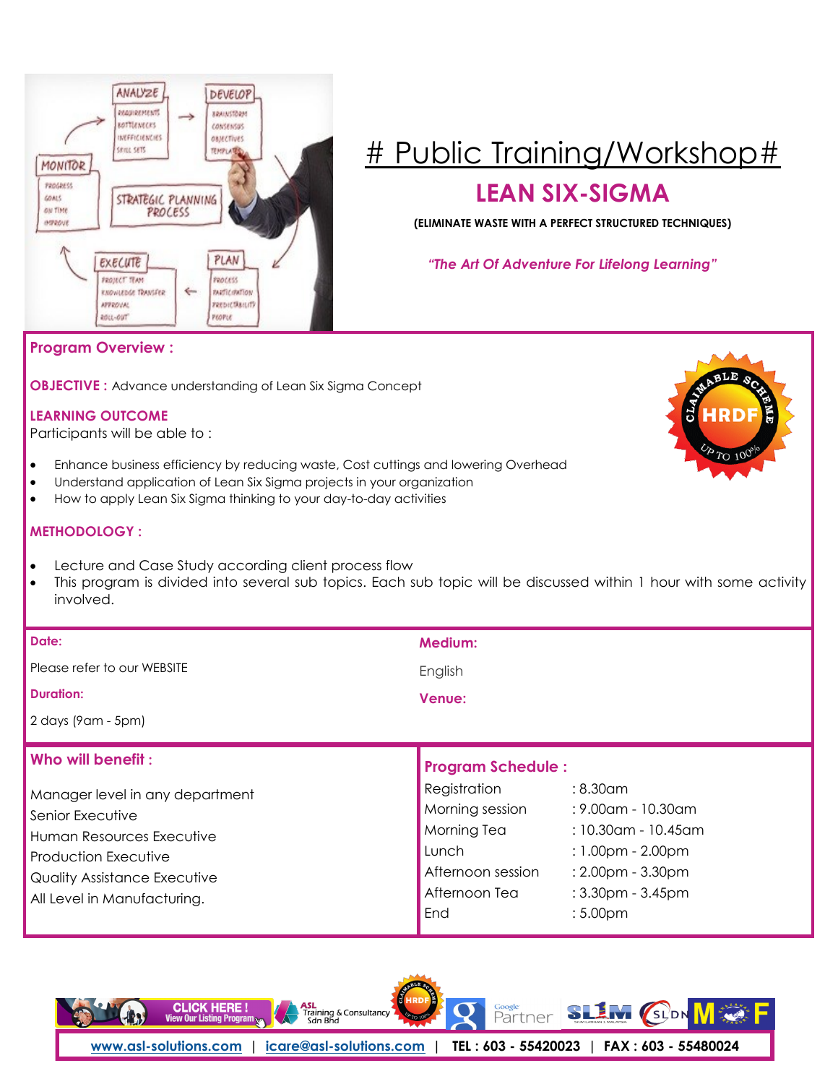

# [# Public Training/Workshop#](http://asl-solutions.com/publictraining/)

## **LEAN SIX-SIGMA**

**(ELIMINATE WASTE WITH A PERFECT STRUCTURED TECHNIQUES)**

*"The Art Of Adventure For Lifelong Learning"* 

### **Program Overview :**

**OBJECTIVE :** Advance understanding of Lean Six Sigma Concept

### **LEARNING OUTCOME**

Participants will be able to :

- Enhance business efficiency by reducing waste, Cost cuttings and lowering Overhead
- Understand application of Lean Six Sigma projects in your organization
- How to apply Lean Six Sigma thinking to your day-to-day activities

### **METHODOLOGY :**

- Lecture and Case Study according client process flow
- This program is divided into several sub topics. Each sub topic will be discussed within 1 hour with some activity involved.

| Date:                           | <b>Medium:</b>                                            |
|---------------------------------|-----------------------------------------------------------|
| Please refer to our WEBSITE     | English                                                   |
| <b>Duration:</b>                | <b>Venue:</b>                                             |
| 2 days (9 am - 5 pm)            |                                                           |
|                                 |                                                           |
| Who will benefit:               | <b>Program Schedule:</b>                                  |
| Manager level in any department | Registration : 8.30am<br>Morning session : 8.00am 10.30am |

| Senior Executive                    | Morning session   | : 9.00am - 10.30am                  |
|-------------------------------------|-------------------|-------------------------------------|
| Human Resources Executive           | Morning Tea       | $: 10.30$ am - 10.45am              |
| Production Executive                | Lunch             | $: 1.00 \text{pm} - 2.00 \text{pm}$ |
| <b>Quality Assistance Executive</b> | Afternoon session | $: 2.00 \text{pm} - 3.30 \text{pm}$ |
| All Level in Manufacturing.         | Afternoon Tea     | $:3.30$ pm - $3.45$ pm              |
|                                     | $ $ End           | :5.00 <sub>pm</sub>                 |
|                                     |                   |                                     |

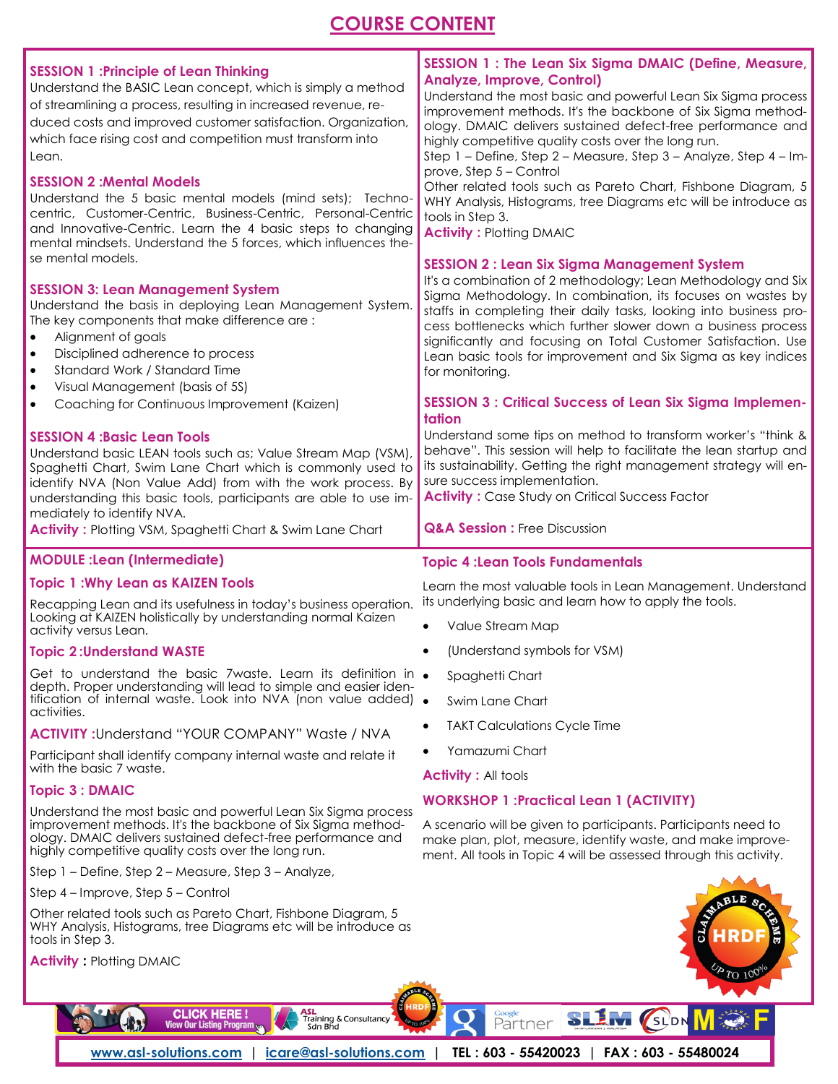### **COURSE CONTENT**

| <b>SESSION 1: Principle of Lean Thinking</b><br>Understand the BASIC Lean concept, which is simply a method<br>of streamlining a process, resulting in increased revenue, re-<br>duced costs and improved customer satisfaction. Organization,<br>which face rising cost and competition must transform into<br>Lean.<br><b>SESSION 2: Mental Models</b><br>Understand the 5 basic mental models (mind sets); Techno-<br>centric, Customer-Centric, Business-Centric, Personal-Centric<br>and Innovative-Centric. Learn the 4 basic steps to changing<br>mental mindsets. Understand the 5 forces, which influences the-<br>se mental models.<br><b>SESSION 3: Lean Management System</b><br>Understand the basis in deploying Lean Management System.<br>The key components that make difference are:<br>Alignment of goals<br>$\bullet$<br>Disciplined adherence to process<br>$\bullet$<br>Standard Work / Standard Time<br>$\bullet$<br>Visual Management (basis of 5S)<br>$\bullet$<br>Coaching for Continuous Improvement (Kaizen)<br>$\bullet$<br><b>SESSION 4: Basic Lean Tools</b><br>Understand basic LEAN tools such as; Value Stream Map (VSM),<br>Spaghetti Chart, Swim Lane Chart which is commonly used to<br>identify NVA (Non Value Add) from with the work process. By<br>understanding this basic tools, participants are able to use im-<br>mediately to identify NVA.<br><b>Activity: Plotting VSM, Spaghetti Chart &amp; Swim Lane Chart</b> | <b>SESSION 1: The Lean Six Sigma DMAIC (Define, Measure,</b><br><b>Analyze, Improve, Control)</b><br>Understand the most basic and powerful Lean Six Sigma process<br>improvement methods. It's the backbone of Six Sigma method-<br>ology. DMAIC delivers sustained defect-free performance and<br>highly competitive quality costs over the long run.<br>Step 1 - Define, Step 2 - Measure, Step 3 - Analyze, Step 4 - Im-<br>prove, Step 5 - Control<br>Other related tools such as Pareto Chart, Fishbone Diagram, 5<br>WHY Analysis, Histograms, tree Diagrams etc will be introduce as<br>tools in Step 3.<br><b>Activity: Plotting DMAIC</b><br><b>SESSION 2: Lean Six Sigma Management System</b><br>It's a combination of 2 methodology; Lean Methodology and Six<br>Sigma Methodology. In combination, its focuses on wastes by<br>staffs in completing their daily tasks, looking into business pro-<br>cess bottlenecks which further slower down a business process<br>significantly and focusing on Total Customer Satisfaction. Use<br>Lean basic tools for improvement and Six Sigma as key indices<br>for monitoring.<br><b>SESSION 3: Critical Success of Lean Six Sigma Implemen-</b><br>tation<br>Understand some tips on method to transform worker's "think &<br>behave". This session will help to facilitate the lean startup and<br>its sustainability. Getting the right management strategy will en-<br>sure success implementation.<br><b>Activity:</b> Case Study on Critical Success Factor<br><b>Q&amp;A Session : Free Discussion</b> |
|--------------------------------------------------------------------------------------------------------------------------------------------------------------------------------------------------------------------------------------------------------------------------------------------------------------------------------------------------------------------------------------------------------------------------------------------------------------------------------------------------------------------------------------------------------------------------------------------------------------------------------------------------------------------------------------------------------------------------------------------------------------------------------------------------------------------------------------------------------------------------------------------------------------------------------------------------------------------------------------------------------------------------------------------------------------------------------------------------------------------------------------------------------------------------------------------------------------------------------------------------------------------------------------------------------------------------------------------------------------------------------------------------------------------------------------------------------------------|-----------------------------------------------------------------------------------------------------------------------------------------------------------------------------------------------------------------------------------------------------------------------------------------------------------------------------------------------------------------------------------------------------------------------------------------------------------------------------------------------------------------------------------------------------------------------------------------------------------------------------------------------------------------------------------------------------------------------------------------------------------------------------------------------------------------------------------------------------------------------------------------------------------------------------------------------------------------------------------------------------------------------------------------------------------------------------------------------------------------------------------------------------------------------------------------------------------------------------------------------------------------------------------------------------------------------------------------------------------------------------------------------------------------------------------------------------------------------------------------------------------------------------------------------------------------------|
| <b>MODULE : Lean (Intermediate)</b><br><b>Topic 1: Why Lean as KAIZEN Tools</b>                                                                                                                                                                                                                                                                                                                                                                                                                                                                                                                                                                                                                                                                                                                                                                                                                                                                                                                                                                                                                                                                                                                                                                                                                                                                                                                                                                                    | <b>Topic 4: Lean Tools Fundamentals</b><br>Learn the most valuable tools in Lean Management. Understand                                                                                                                                                                                                                                                                                                                                                                                                                                                                                                                                                                                                                                                                                                                                                                                                                                                                                                                                                                                                                                                                                                                                                                                                                                                                                                                                                                                                                                                               |
|                                                                                                                                                                                                                                                                                                                                                                                                                                                                                                                                                                                                                                                                                                                                                                                                                                                                                                                                                                                                                                                                                                                                                                                                                                                                                                                                                                                                                                                                    |                                                                                                                                                                                                                                                                                                                                                                                                                                                                                                                                                                                                                                                                                                                                                                                                                                                                                                                                                                                                                                                                                                                                                                                                                                                                                                                                                                                                                                                                                                                                                                       |

Recapping Lean and its usefulness in today's business operation. its underlying basic and learn how to apply the tools. Looking at KAIZEN holistically by understanding normal Kaizen activity versus Lean.

#### **Topic 2 :Understand WASTE**

Get to understand the basic 7 waste. Learn its definition in  $\bullet$ depth. Proper understanding will lead to simple and easier identification of internal waste. Look into NVA (non value added) . activities.

#### **ACTIVITY :**Understand "YOUR COMPANY" Waste / NVA

Participant shall identify company internal waste and relate it with the basic 7 waste.

#### **Topic 3 : DMAIC**

Understand the most basic and powerful Lean Six Sigma process improvement methods. It's the backbone of Six Sigma methodology. DMAIC delivers sustained defect-free performance and highly competitive quality costs over the long run.

Step 1 – Define, Step 2 – Measure, Step 3 – Analyze,

Step 4 – Improve, Step 5 – Control

Other related tools such as Pareto Chart, Fishbone Diagram, 5 tools in Step 3.

Value Stream Map

- (Understand symbols for VSM)
- Spaghetti Chart
- Swim Lane Chart
- TAKT Calculations Cycle Time
- Yamazumi Chart

Activity : All tools

#### **WORKSHOP 1 :Practical Lean 1 (ACTIVITY)**

A scenario will be given to participants. Participants need to make plan, plot, measure, identify waste, and make improvement. All tools in Topic 4 will be assessed through this activity.

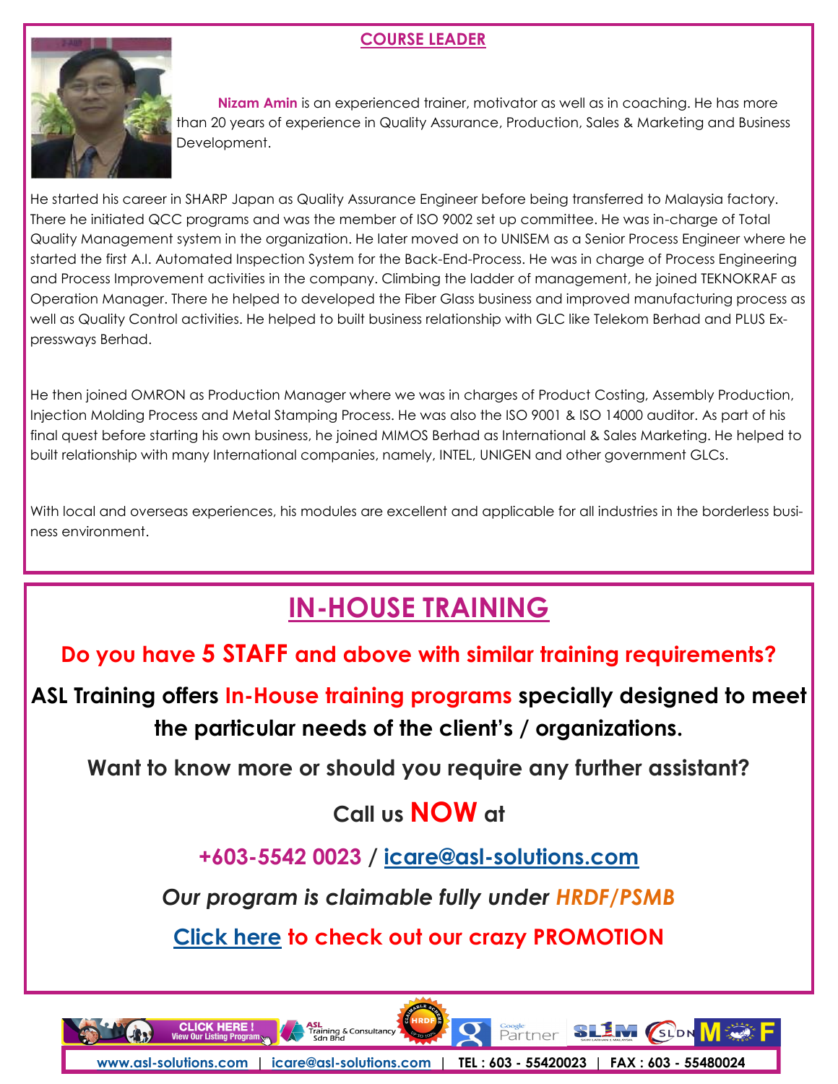### **COURSE LEADER**



 **Nizam Amin** is an experienced trainer, motivator as well as in coaching. He has more than 20 years of experience in Quality Assurance, Production, Sales & Marketing and Business Development.

He started his career in SHARP Japan as Quality Assurance Engineer before being transferred to Malaysia factory. There he initiated QCC programs and was the member of ISO 9002 set up committee. He was in-charge of Total Quality Management system in the organization. He later moved on to UNISEM as a Senior Process Engineer where he started the first A.I. Automated Inspection System for the Back-End-Process. He was in charge of Process Engineering and Process Improvement activities in the company. Climbing the ladder of management, he joined TEKNOKRAF as Operation Manager. There he helped to developed the Fiber Glass business and improved manufacturing process as well as Quality Control activities. He helped to built business relationship with GLC like Telekom Berhad and PLUS Expressways Berhad.

He then joined OMRON as Production Manager where we was in charges of Product Costing, Assembly Production, Injection Molding Process and Metal Stamping Process. He was also the ISO 9001 & ISO 14000 auditor. As part of his final quest before starting his own business, he joined MIMOS Berhad as International & Sales Marketing. He helped to built relationship with many International companies, namely, INTEL, UNIGEN and other government GLCs.

With local and overseas experiences, his modules are excellent and applicable for all industries in the borderless business environment.

# **[IN-HOUSE TRAINING](http://www.asl-solutions.com/corporate-training/in-house-training/)**

**Do you have 5 STAFF and above with similar training requirements?**

**ASL Training offers In-House training programs specially designed to meet the particular needs of the client's / organizations.**

**Want to know more or should you require any further assistant?**

# **Call us NOW at**

**+603-5542 0023 / icare@asl-solutions.com**

*Our program is claimable fully under HRDF/PSMB*

**[Click here](http://asl-solutions.com/publictraining) to check out our crazy PROMOTION**